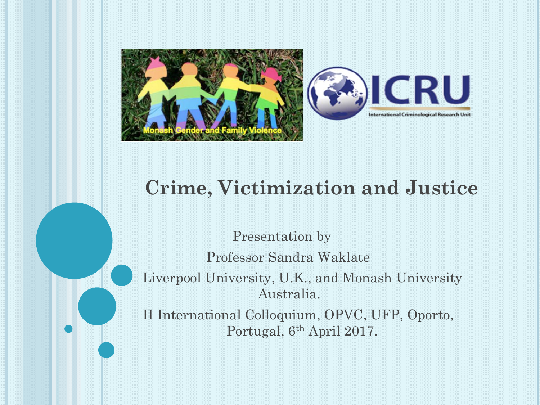



#### **Crime, Victimization and Justice**

Presentation by Professor Sandra Waklate Liverpool University, U.K., and Monash University Australia. II International Colloquium, OPVC, UFP, Oporto, Portugal, 6th April 2017.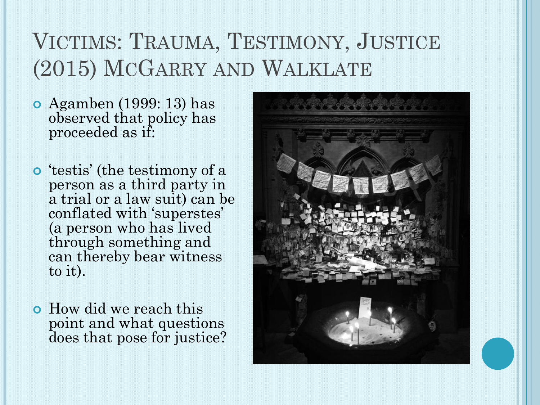# VICTIMS: TRAUMA, TESTIMONY, JUSTICE (2015) MCGARRY AND WALKLATE

- Agamben (1999: 13) has observed that policy has proceeded as if:
- 'testis' (the testimony of a person as a third party in a trial or a law suit) can be conflated with 'superstes' (a person who has lived through something and can thereby bear witness to it).
- How did we reach this point and what questions does that pose for justice?

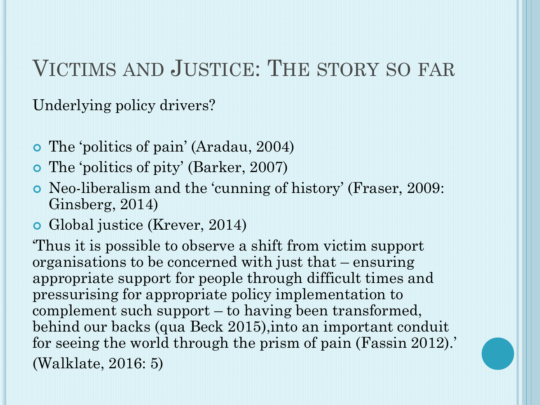# VICTIMS AND JUSTICE: THE STORY SO FAR

Underlying policy drivers?

- The 'politics of pain' (Aradau, 2004)
- The 'politics of pity' (Barker, 2007)
- Neo-liberalism and the 'cunning of history' (Fraser, 2009: Ginsberg, 2014)
- Global justice (Krever, 2014)

'Thus it is possible to observe a shift from victim support organisations to be concerned with just that – ensuring appropriate support for people through difficult times and pressurising for appropriate policy implementation to complement such support – to having been transformed, behind our backs (qua Beck 2015),into an important conduit for seeing the world through the prism of pain (Fassin 2012).' (Walklate, 2016: 5)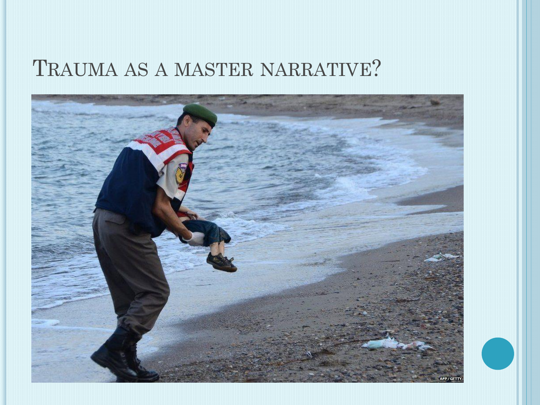### TRAUMA AS A MASTER NARRATIVE?

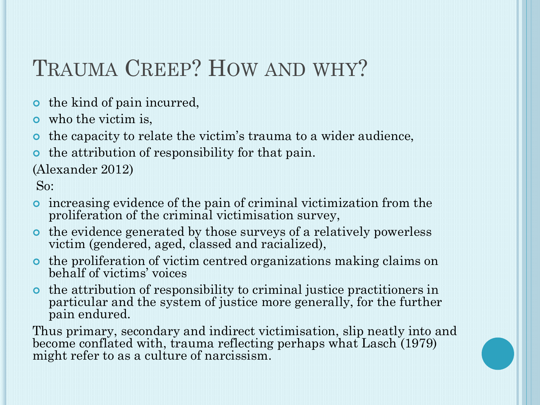# TRAUMA CREEP? HOW AND WHY?

- **o** the kind of pain incurred,
- who the victim is,
- the capacity to relate the victim's trauma to a wider audience,
- the attribution of responsibility for that pain.

(Alexander 2012)

So:

- increasing evidence of the pain of criminal victimization from the proliferation of the criminal victimisation survey,
- the evidence generated by those surveys of a relatively powerless victim (gendered, aged, classed and racialized),
- the proliferation of victim centred organizations making claims on behalf of victims' voices
- the attribution of responsibility to criminal justice practitioners in particular and the system of justice more generally, for the further pain endured.

Thus primary, secondary and indirect victimisation, slip neatly into and become conflated with, trauma reflecting perhaps what Lasch (1979) might refer to as a culture of narcissism.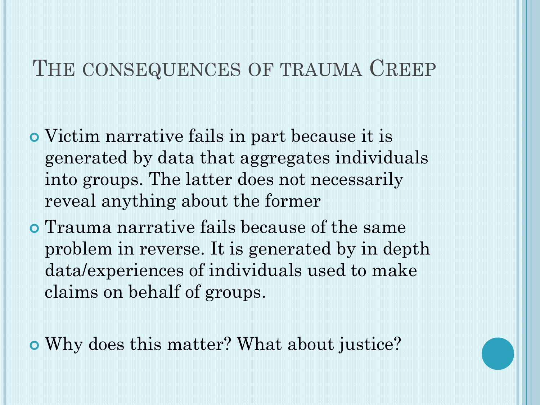#### THE CONSEQUENCES OF TRAUMA CREEP

- Victim narrative fails in part because it is generated by data that aggregates individuals into groups. The latter does not necessarily reveal anything about the former
- Trauma narrative fails because of the same problem in reverse. It is generated by in depth data/experiences of individuals used to make claims on behalf of groups.

Why does this matter? What about justice?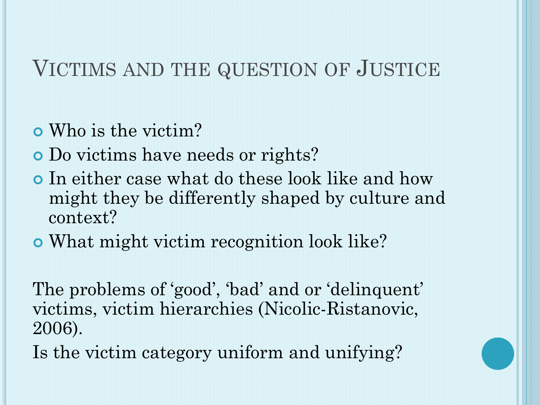#### VICTIMS AND THE QUESTION OF JUSTICE

- Who is the victim?
- Do victims have needs or rights?
- In either case what do these look like and how might they be differently shaped by culture and context?
- What might victim recognition look like?

The problems of 'good', 'bad' and or 'delinquent' victims, victim hierarchies (Nicolic-Ristanovic, 2006).

Is the victim category uniform and unifying?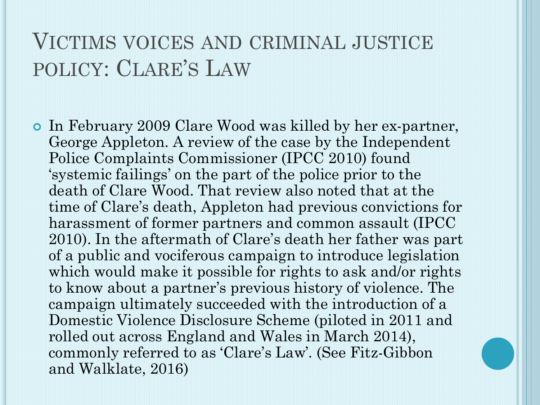## VICTIMS VOICES AND CRIMINAL JUSTICE POLICY: CLARE'S LAW

 In February 2009 Clare Wood was killed by her ex-partner, George Appleton. A review of the case by the Independent Police Complaints Commissioner (IPCC 2010) found 'systemic failings' on the part of the police prior to the death of Clare Wood. That review also noted that at the time of Clare's death, Appleton had previous convictions for harassment of former partners and common assault (IPCC 2010). In the aftermath of Clare's death her father was part of a public and vociferous campaign to introduce legislation which would make it possible for rights to ask and/or rights to know about a partner's previous history of violence. The campaign ultimately succeeded with the introduction of a Domestic Violence Disclosure Scheme (piloted in 2011 and rolled out across England and Wales in March 2014), commonly referred to as 'Clare's Law'. (See Fitz-Gibbon and Walklate, 2016)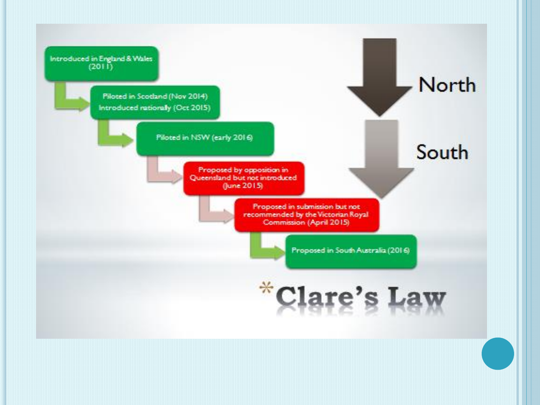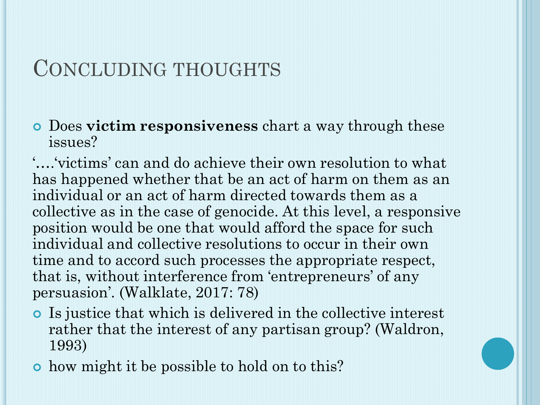#### CONCLUDING THOUGHTS

 Does **victim responsiveness** chart a way through these issues?

'….'victims' can and do achieve their own resolution to what has happened whether that be an act of harm on them as an individual or an act of harm directed towards them as a collective as in the case of genocide. At this level, a responsive position would be one that would afford the space for such individual and collective resolutions to occur in their own time and to accord such processes the appropriate respect, that is, without interference from 'entrepreneurs' of any persuasion'. (Walklate, 2017: 78)

- Is justice that which is delivered in the collective interest rather that the interest of any partisan group? (Waldron, 1993)
- how might it be possible to hold on to this?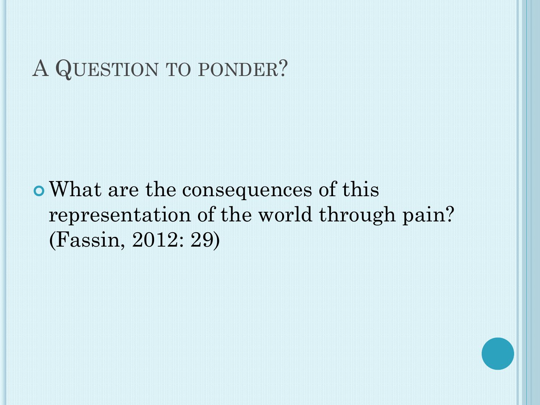### A QUESTION TO PONDER?

What are the consequences of this representation of the world through pain? (Fassin, 2012: 29)